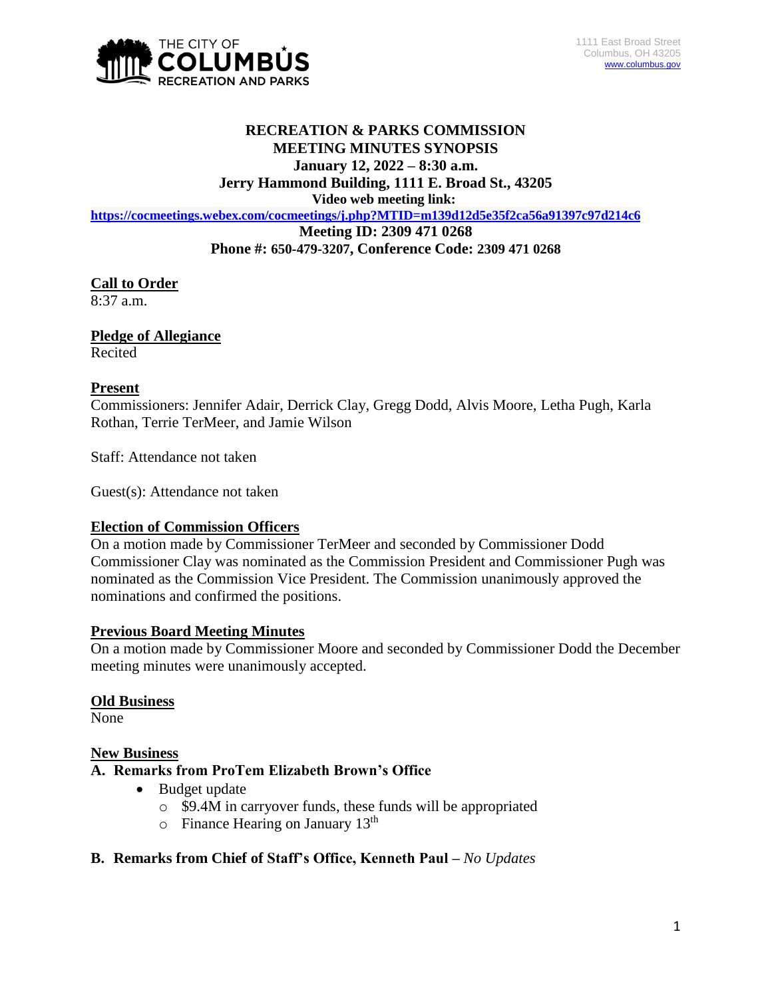

# **RECREATION & PARKS COMMISSION MEETING MINUTES SYNOPSIS January 12, 2022 – 8:30 a.m.**

**Jerry Hammond Building, 1111 E. Broad St., 43205**

**Video web meeting link:**

**<https://cocmeetings.webex.com/cocmeetings/j.php?MTID=m139d12d5e35f2ca56a91397c97d214c6>**

**Meeting ID: 2309 471 0268**

**Phone #: 650-479-3207, Conference Code: 2309 471 0268**

# **Call to Order**

 $8:37$  a.m.

# **Pledge of Allegiance**

Recited

### **Present**

Commissioners: Jennifer Adair, Derrick Clay, Gregg Dodd, Alvis Moore, Letha Pugh, Karla Rothan, Terrie TerMeer, and Jamie Wilson

Staff: Attendance not taken

Guest(s): Attendance not taken

### **Election of Commission Officers**

On a motion made by Commissioner TerMeer and seconded by Commissioner Dodd Commissioner Clay was nominated as the Commission President and Commissioner Pugh was nominated as the Commission Vice President. The Commission unanimously approved the nominations and confirmed the positions.

### **Previous Board Meeting Minutes**

On a motion made by Commissioner Moore and seconded by Commissioner Dodd the December meeting minutes were unanimously accepted.

#### **Old Business**

None

#### **New Business**

### **A. Remarks from ProTem Elizabeth Brown's Office**

- Budget update
	- o \$9.4M in carryover funds, these funds will be appropriated
	- $\circ$  Finance Hearing on January 13<sup>th</sup>

### **B. Remarks from Chief of Staff's Office, Kenneth Paul –** *No Updates*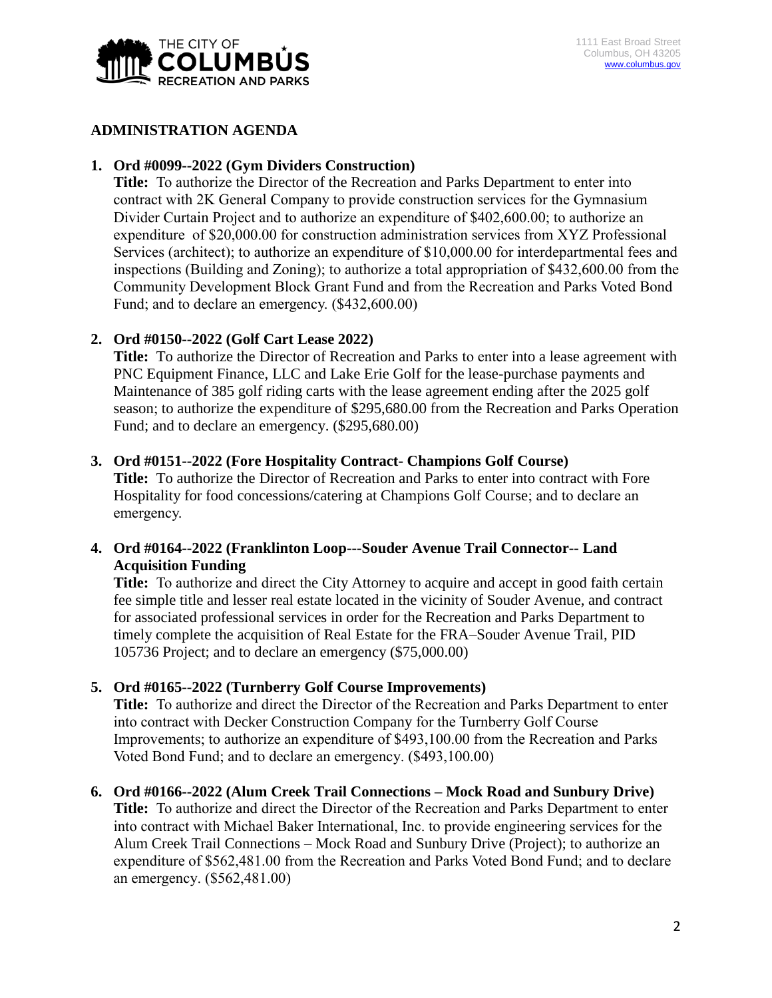

#### **ADMINISTRATION AGENDA**

#### **1. Ord #0099--2022 (Gym Dividers Construction)**

**Title:** To authorize the Director of the Recreation and Parks Department to enter into contract with 2K General Company to provide construction services for the Gymnasium Divider Curtain Project and to authorize an expenditure of \$402,600.00; to authorize an expenditure of \$20,000.00 for construction administration services from XYZ Professional Services (architect); to authorize an expenditure of \$10,000.00 for interdepartmental fees and inspections (Building and Zoning); to authorize a total appropriation of \$432,600.00 from the Community Development Block Grant Fund and from the Recreation and Parks Voted Bond Fund; and to declare an emergency. (\$432,600.00)

### **2. Ord #0150--2022 (Golf Cart Lease 2022)**

**Title:** To authorize the Director of Recreation and Parks to enter into a lease agreement with PNC Equipment Finance, LLC and Lake Erie Golf for the lease-purchase payments and Maintenance of 385 golf riding carts with the lease agreement ending after the 2025 golf season; to authorize the expenditure of \$295,680.00 from the Recreation and Parks Operation Fund; and to declare an emergency. (\$295,680.00)

#### **3. Ord #0151--2022 (Fore Hospitality Contract- Champions Golf Course)**

**Title:** To authorize the Director of Recreation and Parks to enter into contract with Fore Hospitality for food concessions/catering at Champions Golf Course; and to declare an emergency.

# **4. Ord #0164--2022 (Franklinton Loop---Souder Avenue Trail Connector-- Land Acquisition Funding**

**Title:** To authorize and direct the City Attorney to acquire and accept in good faith certain fee simple title and lesser real estate located in the vicinity of Souder Avenue, and contract for associated professional services in order for the Recreation and Parks Department to timely complete the acquisition of Real Estate for the FRA–Souder Avenue Trail, PID 105736 Project; and to declare an emergency (\$75,000.00)

### **5. Ord #0165--2022 (Turnberry Golf Course Improvements)**

**Title:** To authorize and direct the Director of the Recreation and Parks Department to enter into contract with Decker Construction Company for the Turnberry Golf Course Improvements; to authorize an expenditure of \$493,100.00 from the Recreation and Parks Voted Bond Fund; and to declare an emergency. (\$493,100.00)

#### **6. Ord #0166--2022 (Alum Creek Trail Connections – Mock Road and Sunbury Drive)**

**Title:** To authorize and direct the Director of the Recreation and Parks Department to enter into contract with Michael Baker International, Inc. to provide engineering services for the Alum Creek Trail Connections – Mock Road and Sunbury Drive (Project); to authorize an expenditure of \$562,481.00 from the Recreation and Parks Voted Bond Fund; and to declare an emergency. (\$562,481.00)